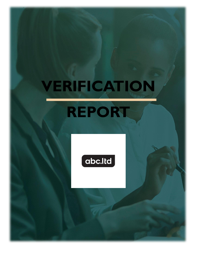## **VERIFICATION REPORT**

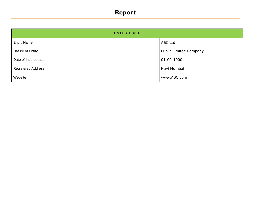## **Report**

| <b>ENTITY BRIEF</b>       |                               |  |  |  |  |
|---------------------------|-------------------------------|--|--|--|--|
| <b>Entity Name</b>        | <b>ABC Ltd</b>                |  |  |  |  |
| Nature of Entity          | <b>Public Limited Company</b> |  |  |  |  |
| Date of Incorporation     | 01-09-1900                    |  |  |  |  |
| <b>Registered Address</b> | Navi Mumbai                   |  |  |  |  |
| Website                   | www.ABC.com                   |  |  |  |  |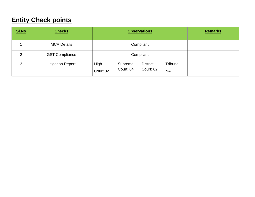## **Entity Check points**

| SI.No          | <b>Checks</b>            | <b>Observations</b> |                      |                              |                        | <b>Remarks</b> |
|----------------|--------------------------|---------------------|----------------------|------------------------------|------------------------|----------------|
|                | <b>MCA Details</b>       |                     | Compliant            |                              |                        |                |
| $\overline{2}$ | <b>GST Compliance</b>    | Compliant           |                      |                              |                        |                |
| 3              | <b>Litigation Report</b> | High<br>Court:02    | Supreme<br>Court: 04 | <b>District</b><br>Court: 02 | Tribunal:<br><b>NA</b> |                |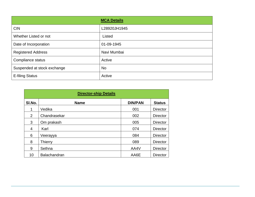|                             | <b>MCA Details</b> |
|-----------------------------|--------------------|
| <b>CIN</b>                  | L28920JH1945       |
| Whether Listed or not       | Listed             |
| Date of Incorporation       | 01-09-1945         |
| <b>Registered Address</b>   | Navi Mumbai        |
| Compliance status           | Active             |
| Suspended at stock exchange | <b>No</b>          |
| <b>E-filing Status</b>      | Active             |

| <b>Director-ship Details</b> |                |                |                 |  |  |  |
|------------------------------|----------------|----------------|-----------------|--|--|--|
| SI.No.                       | <b>Name</b>    | <b>DIN/PAN</b> | <b>Status</b>   |  |  |  |
|                              | Vedika         | 001            | <b>Director</b> |  |  |  |
| $\overline{2}$               | Chandrasekar   | 002            | <b>Director</b> |  |  |  |
| 3                            | Om prakash     | 005            | <b>Director</b> |  |  |  |
| 4                            | Karl           | 074            | <b>Director</b> |  |  |  |
| 6                            | Veerayya       | 084            | <b>Director</b> |  |  |  |
| 8                            | <b>Thierry</b> | 089            | <b>Director</b> |  |  |  |
| 9                            | Sethna         | AA4V           | <b>Director</b> |  |  |  |
| 10                           | Balachandran   | AA6E           | <b>Director</b> |  |  |  |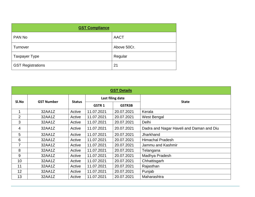| <b>GST Compliance</b>    |             |  |  |  |  |
|--------------------------|-------------|--|--|--|--|
| PAN No                   | <b>AACT</b> |  |  |  |  |
| Turnover                 | Above 50Cr. |  |  |  |  |
| <b>Taxpayer Type</b>     | Regular     |  |  |  |  |
| <b>GST Registrations</b> | 21          |  |  |  |  |

| <b>GST Details</b> |                            |               |                  |               |                                          |  |  |
|--------------------|----------------------------|---------------|------------------|---------------|------------------------------------------|--|--|
|                    |                            |               | Last filing date |               |                                          |  |  |
|                    | SI.No<br><b>GST Number</b> | <b>Status</b> | <b>GSTR1</b>     | <b>GSTR3B</b> | <b>State</b>                             |  |  |
| $\mathbf 1$        | 32AA1Z                     | Active        | 11.07.2021       | 20.07.2021    | Kerala                                   |  |  |
| 2                  | 32AA1Z                     | Active        | 11.07.2021       | 20.07.2021    | West Bengal                              |  |  |
| 3                  | 32AA1Z                     | Active        | 11.07.2021       | 20.07.2021    | Delhi                                    |  |  |
| $\overline{4}$     | 32AA1Z                     | Active        | 11.07.2021       | 20.07.2021    | Dadra and Nagar Haveli and Daman and Diu |  |  |
| 5                  | 32AA1Z                     | Active        | 11.07.2021       | 20.07.2021    | Jharkhand                                |  |  |
| 6                  | 32AA1Z                     | Active        | 11.07.2021       | 20.07.2021    | <b>Himachal Pradesh</b>                  |  |  |
| $\overline{7}$     | 32AA1Z                     | Active        | 11.07.2021       | 20.07.2021    | Jammu and Kashmir                        |  |  |
| 8                  | 32AA1Z                     | Active        | 11.07.2021       | 20.07.2021    | Telangana                                |  |  |
| 9                  | 32AA1Z                     | Active        | 11.07.2021       | 20.07.2021    | Madhya Pradesh                           |  |  |
| 10                 | 32AA1Z                     | Active        | 11.07.2021       | 20.07.2021    | Chhattisgarh                             |  |  |
| 11                 | 32AA1Z                     | Active        | 11.07.2021       | 20.07.2021    | Rajasthan                                |  |  |
| 12                 | 32AA1Z                     | Active        | 11.07.2021       | 20.07.2021    | Punjab                                   |  |  |
| 13                 | 32AA1Z                     | Active        | 11.07.2021       | 20.07.2021    | Maharashtra                              |  |  |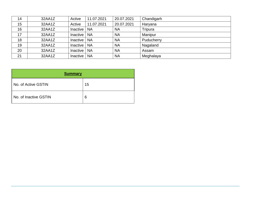| 14 | 32AA1Z | Active          | 11.07.2021 | 20.07.2021 | Chandigarh |
|----|--------|-----------------|------------|------------|------------|
| 15 | 32AA1Z | Active          | 11.07.2021 | 20.07.2021 | Haryana    |
| 16 | 32AA1Z | Inactive        | <b>NA</b>  | <b>NA</b>  | Tripura    |
| 17 | 32AA1Z | Inactive        | <b>NA</b>  | <b>NA</b>  | Manipur    |
| 18 | 32AA1Z | Inactive        | <b>NA</b>  | <b>NA</b>  | Puducherry |
| 19 | 32AA1Z | Inactive        | <b>NA</b>  | <b>NA</b>  | Nagaland   |
| 20 | 32AA1Z | Inactive        | <b>NA</b>  | <b>NA</b>  | Assam      |
| 21 | 32AA1Z | <b>Inactive</b> | <b>NA</b>  | <b>NA</b>  | Meghalaya  |

| <b>Summary</b>        |    |
|-----------------------|----|
| No. of Active GSTIN   | 15 |
| No. of Inactive GSTIN | 6  |